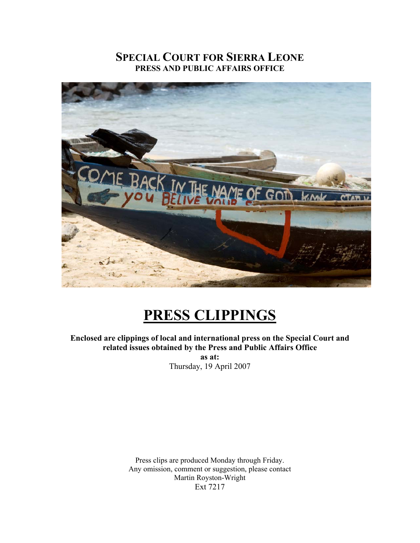# **SPECIAL COURT FOR SIERRA LEONE PRESS AND PUBLIC AFFAIRS OFFICE**



# **PRESS CLIPPINGS**

**Enclosed are clippings of local and international press on the Special Court and related issues obtained by the Press and Public Affairs Office** 

**as at:**  Thursday, 19 April 2007

Press clips are produced Monday through Friday. Any omission, comment or suggestion, please contact Martin Royston-Wright Ext 7217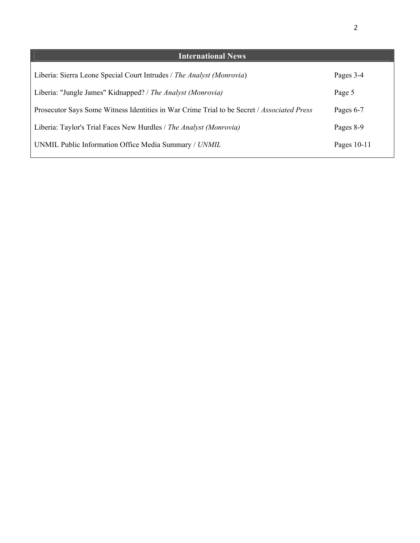| <b>International News</b>                                                                  |             |
|--------------------------------------------------------------------------------------------|-------------|
| Liberia: Sierra Leone Special Court Intrudes / The Analyst (Monrovia)                      | Pages 3-4   |
| Liberia: "Jungle James" Kidnapped? / The Analyst (Monrovia)                                | Page 5      |
| Prosecutor Says Some Witness Identities in War Crime Trial to be Secret / Associated Press | Pages 6-7   |
| Liberia: Taylor's Trial Faces New Hurdles / The Analyst (Monrovia)                         | Pages 8-9   |
| UNMIL Public Information Office Media Summary / UNMIL                                      | Pages 10-11 |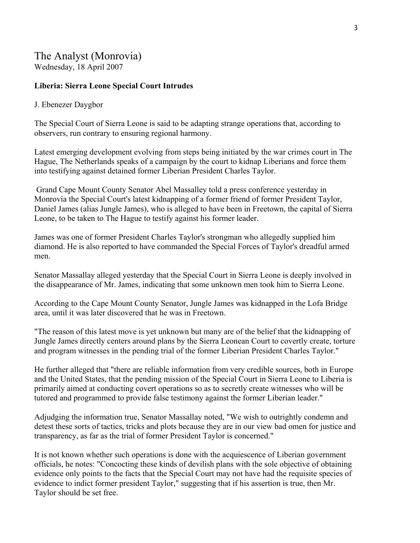# The Analyst (Monrovia)

Wednesday, 18 April 2007

### **Liberia: Sierra Leone Special Court Intrudes**

### J. Ebenezer Daygbor

The Special Court of Sierra Leone is said to be adapting strange operations that, according to observers, run contrary to ensuring regional harmony.

Latest emerging development evolving from steps being initiated by the war crimes court in The Hague, The Netherlands speaks of a campaign by the court to kidnap Liberians and force them into testifying against detained former Liberian President Charles Taylor.

 Grand Cape Mount County Senator Abel Massalley told a press conference yesterday in Monrovia the Special Court's latest kidnapping of a former friend of former President Taylor, Daniel James (alias Jungle James), who is alleged to have been in Freetown, the capital of Sierra Leone, to be taken to The Hague to testify against his former leader.

James was one of former President Charles Taylor's strongman who allegedly supplied him diamond. He is also reported to have commanded the Special Forces of Taylor's dreadful armed men.

Senator Massallay alleged yesterday that the Special Court in Sierra Leone is deeply involved in the disappearance of Mr. James, indicating that some unknown men took him to Sierra Leone.

According to the Cape Mount County Senator, Jungle James was kidnapped in the Lofa Bridge area, until it was later discovered that he was in Freetown.

"The reason of this latest move is yet unknown but many are of the belief that the kidnapping of Jungle James directly centers around plans by the Sierra Leonean Court to covertly create, torture and program witnesses in the pending trial of the former Liberian President Charles Taylor."

He further alleged that "there are reliable information from very credible sources, both in Europe and the United States, that the pending mission of the Special Court in Sierra Leone to Liberia is primarily aimed at conducting covert operations so as to secretly create witnesses who will be tutored and programmed to provide false testimony against the former Liberian leader."

Adjudging the information true, Senator Massallay noted, "We wish to outrightly condemn and detest these sorts of tactics, tricks and plots because they are in our view bad omen for justice and transparency, as far as the trial of former President Taylor is concerned."

It is not known whether such operations is done with the acquiescence of Liberian government officials, he notes: "Concocting these kinds of devilish plans with the sole objective of obtaining evidence only points to the facts that the Special Court may not have had the requisite species of evidence to indict former president Taylor," suggesting that if his assertion is true, then Mr. Taylor should be set free.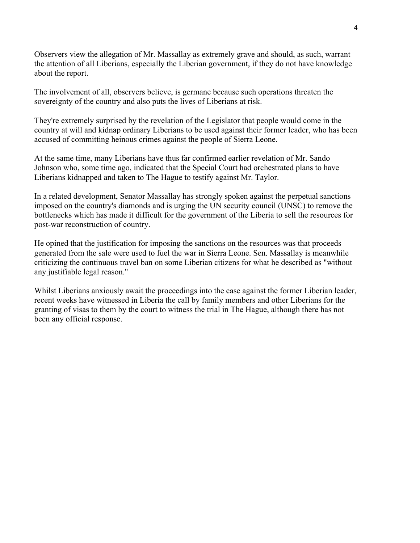Observers view the allegation of Mr. Massallay as extremely grave and should, as such, warrant the attention of all Liberians, especially the Liberian government, if they do not have knowledge about the report.

The involvement of all, observers believe, is germane because such operations threaten the sovereignty of the country and also puts the lives of Liberians at risk.

They're extremely surprised by the revelation of the Legislator that people would come in the country at will and kidnap ordinary Liberians to be used against their former leader, who has been accused of committing heinous crimes against the people of Sierra Leone.

At the same time, many Liberians have thus far confirmed earlier revelation of Mr. Sando Johnson who, some time ago, indicated that the Special Court had orchestrated plans to have Liberians kidnapped and taken to The Hague to testify against Mr. Taylor.

In a related development, Senator Massallay has strongly spoken against the perpetual sanctions imposed on the country's diamonds and is urging the UN security council (UNSC) to remove the bottlenecks which has made it difficult for the government of the Liberia to sell the resources for post-war reconstruction of country.

He opined that the justification for imposing the sanctions on the resources was that proceeds generated from the sale were used to fuel the war in Sierra Leone. Sen. Massallay is meanwhile criticizing the continuous travel ban on some Liberian citizens for what he described as "without any justifiable legal reason."

Whilst Liberians anxiously await the proceedings into the case against the former Liberian leader, recent weeks have witnessed in Liberia the call by family members and other Liberians for the granting of visas to them by the court to witness the trial in The Hague, although there has not been any official response.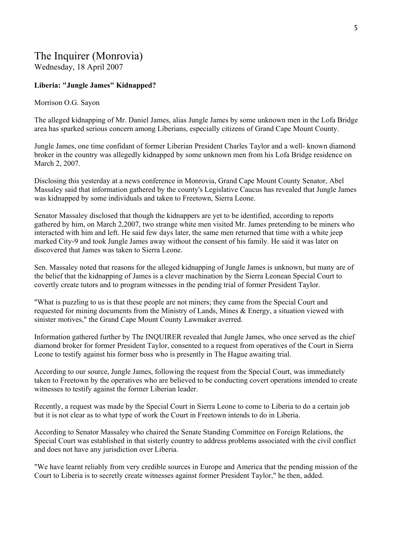# The Inquirer (Monrovia)

Wednesday, 18 April 2007

#### **Liberia: "Jungle James" Kidnapped?**

#### Morrison O.G. Sayon

The alleged kidnapping of Mr. Daniel James, alias Jungle James by some unknown men in the Lofa Bridge area has sparked serious concern among Liberians, especially citizens of Grand Cape Mount County.

Jungle James, one time confidant of former Liberian President Charles Taylor and a well- known diamond broker in the country was allegedly kidnapped by some unknown men from his Lofa Bridge residence on March 2, 2007.

Disclosing this yesterday at a news conference in Monrovia, Grand Cape Mount County Senator, Abel Massaley said that information gathered by the county's Legislative Caucus has revealed that Jungle James was kidnapped by some individuals and taken to Freetown, Sierra Leone.

Senator Massaley disclosed that though the kidnappers are yet to be identified, according to reports gathered by him, on March 2,2007, two strange white men visited Mr. James pretending to be miners who interacted with him and left. He said few days later, the same men returned that time with a white jeep marked City-9 and took Jungle James away without the consent of his family. He said it was later on discovered that James was taken to Sierra Leone.

Sen. Massaley noted that reasons for the alleged kidnapping of Jungle James is unknown, but many are of the belief that the kidnapping of James is a clever machination by the Sierra Leonean Special Court to covertly create tutors and to program witnesses in the pending trial of former President Taylor.

"What is puzzling to us is that these people are not miners; they came from the Special Court and requested for mining documents from the Ministry of Lands, Mines & Energy, a situation viewed with sinister motives," the Grand Cape Mount County Lawmaker averred.

Information gathered further by The INQUIRER revealed that Jungle James, who once served as the chief diamond broker for former President Taylor, consented to a request from operatives of the Court in Sierra Leone to testify against his former boss who is presently in The Hague awaiting trial.

According to our source, Jungle James, following the request from the Special Court, was immediately taken to Freetown by the operatives who are believed to be conducting covert operations intended to create witnesses to testify against the former Liberian leader.

Recently, a request was made by the Special Court in Sierra Leone to come to Liberia to do a certain job but it is not clear as to what type of work the Court in Freetown intends to do in Liberia.

According to Senator Massaley who chaired the Senate Standing Committee on Foreign Relations, the Special Court was established in that sisterly country to address problems associated with the civil conflict and does not have any jurisdiction over Liberia.

"We have learnt reliably from very credible sources in Europe and America that the pending mission of the Court to Liberia is to secretly create witnesses against former President Taylor," he then, added.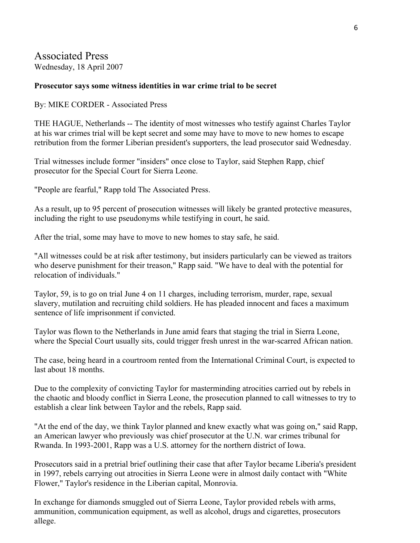### Associated Press Wednesday, 18 April 2007

### **Prosecutor says some witness identities in war crime trial to be secret**

By: MIKE CORDER - Associated Press

THE HAGUE, Netherlands -- The identity of most witnesses who testify against Charles Taylor at his war crimes trial will be kept secret and some may have to move to new homes to escape retribution from the former Liberian president's supporters, the lead prosecutor said Wednesday.

Trial witnesses include former "insiders" once close to Taylor, said Stephen Rapp, chief prosecutor for the Special Court for Sierra Leone.

"People are fearful," Rapp told The Associated Press.

As a result, up to 95 percent of prosecution witnesses will likely be granted protective measures, including the right to use pseudonyms while testifying in court, he said.

After the trial, some may have to move to new homes to stay safe, he said.

"All witnesses could be at risk after testimony, but insiders particularly can be viewed as traitors who deserve punishment for their treason," Rapp said. "We have to deal with the potential for relocation of individuals."

Taylor, 59, is to go on trial June 4 on 11 charges, including terrorism, murder, rape, sexual slavery, mutilation and recruiting child soldiers. He has pleaded innocent and faces a maximum sentence of life imprisonment if convicted.

Taylor was flown to the Netherlands in June amid fears that staging the trial in Sierra Leone, where the Special Court usually sits, could trigger fresh unrest in the war-scarred African nation.

The case, being heard in a courtroom rented from the International Criminal Court, is expected to last about 18 months.

Due to the complexity of convicting Taylor for masterminding atrocities carried out by rebels in the chaotic and bloody conflict in Sierra Leone, the prosecution planned to call witnesses to try to establish a clear link between Taylor and the rebels, Rapp said.

"At the end of the day, we think Taylor planned and knew exactly what was going on," said Rapp, an American lawyer who previously was chief prosecutor at the U.N. war crimes tribunal for Rwanda. In 1993-2001, Rapp was a U.S. attorney for the northern district of Iowa.

Prosecutors said in a pretrial brief outlining their case that after Taylor became Liberia's president in 1997, rebels carrying out atrocities in Sierra Leone were in almost daily contact with "White Flower," Taylor's residence in the Liberian capital, Monrovia.

In exchange for diamonds smuggled out of Sierra Leone, Taylor provided rebels with arms, ammunition, communication equipment, as well as alcohol, drugs and cigarettes, prosecutors allege.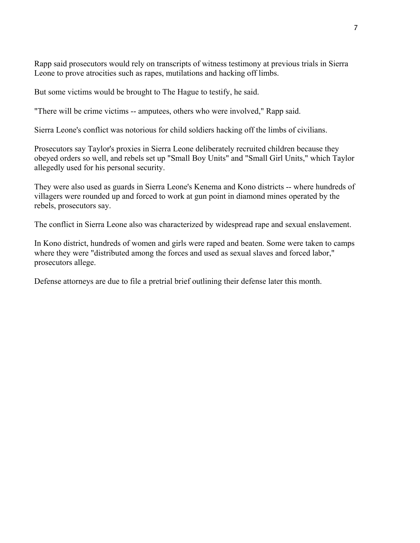Rapp said prosecutors would rely on transcripts of witness testimony at previous trials in Sierra Leone to prove atrocities such as rapes, mutilations and hacking off limbs.

But some victims would be brought to The Hague to testify, he said.

"There will be crime victims -- amputees, others who were involved," Rapp said.

Sierra Leone's conflict was notorious for child soldiers hacking off the limbs of civilians.

Prosecutors say Taylor's proxies in Sierra Leone deliberately recruited children because they obeyed orders so well, and rebels set up "Small Boy Units" and "Small Girl Units," which Taylor allegedly used for his personal security.

They were also used as guards in Sierra Leone's Kenema and Kono districts -- where hundreds of villagers were rounded up and forced to work at gun point in diamond mines operated by the rebels, prosecutors say.

The conflict in Sierra Leone also was characterized by widespread rape and sexual enslavement.

In Kono district, hundreds of women and girls were raped and beaten. Some were taken to camps where they were "distributed among the forces and used as sexual slaves and forced labor," prosecutors allege.

Defense attorneys are due to file a pretrial brief outlining their defense later this month.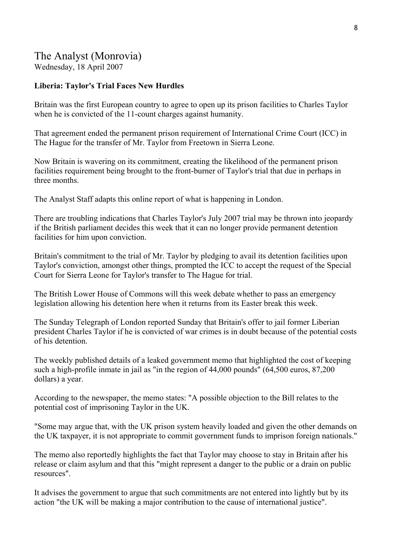### The Analyst (Monrovia)

Wednesday, 18 April 2007

### **Liberia: Taylor's Trial Faces New Hurdles**

Britain was the first European country to agree to open up its prison facilities to Charles Taylor when he is convicted of the 11-count charges against humanity.

That agreement ended the permanent prison requirement of International Crime Court (ICC) in The Hague for the transfer of Mr. Taylor from Freetown in Sierra Leone.

Now Britain is wavering on its commitment, creating the likelihood of the permanent prison facilities requirement being brought to the front-burner of Taylor's trial that due in perhaps in three months.

The Analyst Staff adapts this online report of what is happening in London.

There are troubling indications that Charles Taylor's July 2007 trial may be thrown into jeopardy if the British parliament decides this week that it can no longer provide permanent detention facilities for him upon conviction.

Britain's commitment to the trial of Mr. Taylor by pledging to avail its detention facilities upon Taylor's conviction, amongst other things, prompted the ICC to accept the request of the Special Court for Sierra Leone for Taylor's transfer to The Hague for trial.

The British Lower House of Commons will this week debate whether to pass an emergency legislation allowing his detention here when it returns from its Easter break this week.

The Sunday Telegraph of London reported Sunday that Britain's offer to jail former Liberian president Charles Taylor if he is convicted of war crimes is in doubt because of the potential costs of his detention.

The weekly published details of a leaked government memo that highlighted the cost of keeping such a high-profile inmate in jail as "in the region of 44,000 pounds" (64,500 euros, 87,200 dollars) a year.

According to the newspaper, the memo states: "A possible objection to the Bill relates to the potential cost of imprisoning Taylor in the UK.

"Some may argue that, with the UK prison system heavily loaded and given the other demands on the UK taxpayer, it is not appropriate to commit government funds to imprison foreign nationals."

The memo also reportedly highlights the fact that Taylor may choose to stay in Britain after his release or claim asylum and that this "might represent a danger to the public or a drain on public resources".

It advises the government to argue that such commitments are not entered into lightly but by its action "the UK will be making a major contribution to the cause of international justice".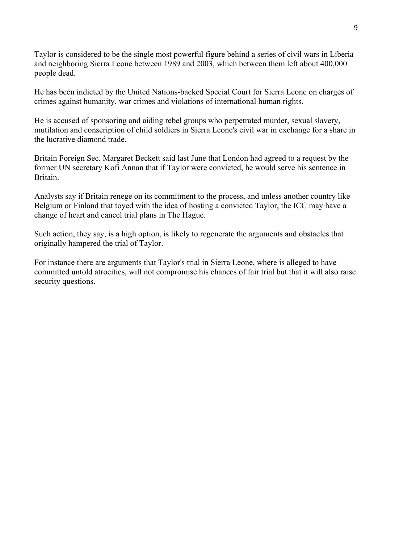Taylor is considered to be the single most powerful figure behind a series of civil wars in Liberia and neighboring Sierra Leone between 1989 and 2003, which between them left about 400,000 people dead.

He has been indicted by the United Nations-backed Special Court for Sierra Leone on charges of crimes against humanity, war crimes and violations of international human rights.

He is accused of sponsoring and aiding rebel groups who perpetrated murder, sexual slavery, mutilation and conscription of child soldiers in Sierra Leone's civil war in exchange for a share in the lucrative diamond trade.

Britain Foreign Sec. Margaret Beckett said last June that London had agreed to a request by the former UN secretary Kofi Annan that if Taylor were convicted, he would serve his sentence in Britain.

Analysts say if Britain renege on its commitment to the process, and unless another country like Belgium or Finland that toyed with the idea of hosting a convicted Taylor, the ICC may have a change of heart and cancel trial plans in The Hague.

Such action, they say, is a high option, is likely to regenerate the arguments and obstacles that originally hampered the trial of Taylor.

For instance there are arguments that Taylor's trial in Sierra Leone, where is alleged to have committed untold atrocities, will not compromise his chances of fair trial but that it will also raise security questions.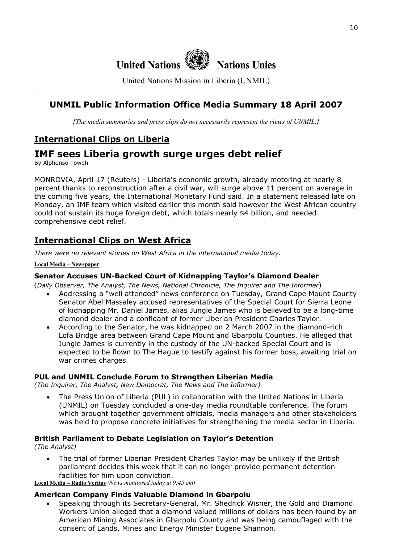

United Nations Mission in Liberia (UNMIL)

### **UNMIL Public Information Office Media Summary 18 April 2007**

*[The media summaries and press clips do not necessarily represent the views of UNMIL.]*

### **International Clips on Liberia**

# **IMF sees Liberia growth surge urges debt relief**

By Alphonso Toweh

MONROVIA, April 17 (Reuters) - Liberia's economic growth, already motoring at nearly 8 percent thanks to reconstruction after a civil war, will surge above 11 percent on average in the coming five years, the International Monetary Fund said. In a statement released late on Monday, an IMF team which visited earlier this month said however the West African country could not sustain its huge foreign debt, which totals nearly \$4 billion, and needed comprehensive debt relief.

### **International Clips on West Africa**

*There were no relevant stories on West Africa in the international media today.* 

#### **Local Media – Newspaper**

#### **Senator Accuses UN-Backed Court of Kidnapping Taylor's Diamond Dealer**

(*Daily Observer, The Analyst, The News, National Chronicle, The Inquirer and The Informer*)

- Addressing a "well attended" news conference on Tuesday, Grand Cape Mount County Senator Abel Massaley accused representatives of the Special Court for Sierra Leone of kidnapping Mr. Daniel James, alias Jungle James who is believed to be a long-time diamond dealer and a confidant of former Liberian President Charles Taylor.
- According to the Senator, he was kidnapped on 2 March 2007 in the diamond-rich Lofa Bridge area between Grand Cape Mount and Gbarpolu Counties. He alleged that Jungle James is currently in the custody of the UN-backed Special Court and is expected to be flown to The Hague to testify against his former boss, awaiting trial on war crimes charges.

#### **PUL and UNMIL Conclude Forum to Strengthen Liberian Media**

*(The Inquirer, The Analyst, New Democrat, The News and The Informer)* 

• The Press Union of Liberia (PUL) in collaboration with the United Nations in Liberia (UNMIL) on Tuesday concluded a one-day media roundtable conference. The forum which brought together government officials, media managers and other stakeholders was held to propose concrete initiatives for strengthening the media sector in Liberia.

### **British Parliament to Debate Legislation on Taylor's Detention**

*(The Analyst)*

• The trial of former Liberian President Charles Taylor may be unlikely if the British parliament decides this week that it can no longer provide permanent detention facilities for him upon conviction.

**Local Media – Radio Veritas** *(News monitored today at 9:45 am)*

#### **American Company Finds Valuable Diamond in Gbarpolu**

• Speaking through its Secretary-General, Mr. Shedrick Wisner, the Gold and Diamond Workers Union alleged that a diamond valued millions of dollars has been found by an American Mining Associates in Gbarpolu County and was being camouflaged with the consent of Lands, Mines and Energy Minister Eugene Shannon.